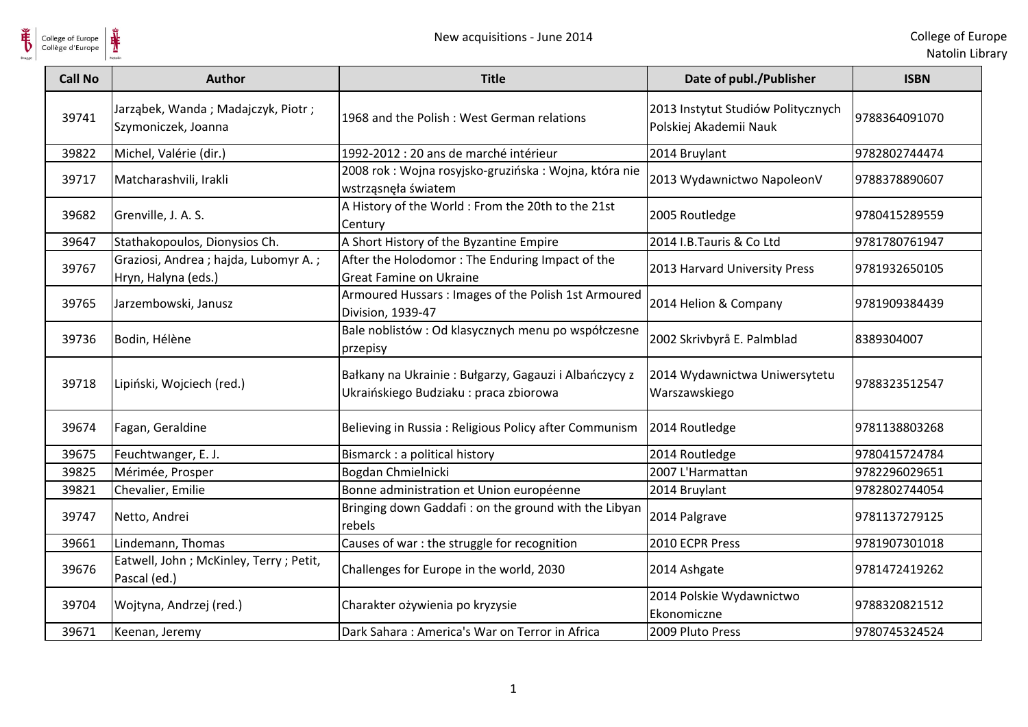| College of Europe<br>Collège d'Europe | New acquisitions - June 2014                                 |                                                                                                |                                                              | College of Eur<br>Natolin Libr |
|---------------------------------------|--------------------------------------------------------------|------------------------------------------------------------------------------------------------|--------------------------------------------------------------|--------------------------------|
| <b>Call No</b>                        | <b>Author</b>                                                | <b>Title</b>                                                                                   | Date of publ./Publisher                                      | <b>ISBN</b>                    |
| 39741                                 | Jarząbek, Wanda; Madajczyk, Piotr;<br>Szymoniczek, Joanna    | 1968 and the Polish: West German relations                                                     | 2013 Instytut Studiów Politycznych<br>Polskiej Akademii Nauk | 9788364091070                  |
| 39822                                 | Michel, Valérie (dir.)                                       | 1992-2012 : 20 ans de marché intérieur                                                         | 2014 Bruylant                                                | 9782802744474                  |
| 39717                                 | Matcharashvili, Irakli                                       | 2008 rok : Wojna rosyjsko-gruzińska : Wojna, która nie<br>wstrząsnęła światem                  | 2013 Wydawnictwo NapoleonV                                   | 9788378890607                  |
| 39682                                 | Grenville, J. A. S.                                          | A History of the World : From the 20th to the 21st<br>Century                                  | 2005 Routledge                                               | 9780415289559                  |
| 39647                                 | Stathakopoulos, Dionysios Ch.                                | A Short History of the Byzantine Empire                                                        | 2014 I.B.Tauris & Co Ltd                                     | 9781780761947                  |
| 39767                                 | Graziosi, Andrea ; hajda, Lubomyr A.;<br>Hryn, Halyna (eds.) | After the Holodomor: The Enduring Impact of the<br><b>Great Famine on Ukraine</b>              | 2013 Harvard University Press                                | 9781932650105                  |
| 39765                                 | Jarzembowski, Janusz                                         | Armoured Hussars: Images of the Polish 1st Armoured<br>Division, 1939-47                       | 2014 Helion & Company                                        | 9781909384439                  |
| 39736                                 | Bodin, Hélène                                                | Bale noblistów : Od klasycznych menu po współczesne<br>przepisy                                | 2002 Skrivbyrå E. Palmblad                                   | 8389304007                     |
| 39718                                 | Lipiński, Wojciech (red.)                                    | Bałkany na Ukrainie: Bułgarzy, Gagauzi i Albańczycy z<br>Ukraińskiego Budziaku: praca zbiorowa | 2014 Wydawnictwa Uniwersytetu<br>Warszawskiego               | 9788323512547                  |
| 39674                                 | Fagan, Geraldine                                             | Believing in Russia: Religious Policy after Communism                                          | 2014 Routledge                                               | 9781138803268                  |
| 39675                                 | Feuchtwanger, E. J.                                          | Bismarck : a political history                                                                 | 2014 Routledge                                               | 9780415724784                  |
| 39825                                 | Mérimée, Prosper                                             | Bogdan Chmielnicki                                                                             | 2007 L'Harmattan                                             | 9782296029651                  |
| 39821                                 | Chevalier, Emilie                                            | Bonne administration et Union européenne                                                       | 2014 Bruylant                                                | 9782802744054                  |
| 39747                                 | Netto, Andrei                                                | Bringing down Gaddafi: on the ground with the Libyan<br>rebels                                 | 2014 Palgrave                                                | 9781137279125                  |
| 39661                                 | Lindemann, Thomas                                            | Causes of war : the struggle for recognition                                                   | 2010 ECPR Press                                              | 9781907301018                  |
| 39676                                 | Eatwell, John; McKinley, Terry; Petit,<br>Pascal (ed.)       | Challenges for Europe in the world, 2030                                                       | 2014 Ashgate                                                 | 9781472419262                  |
| 39704                                 | Wojtyna, Andrzej (red.)                                      | Charakter ożywienia po kryzysie                                                                | 2014 Polskie Wydawnictwo<br>Ekonomiczne                      | 9788320821512                  |
| 39671                                 | Keenan, Jeremy                                               | Dark Sahara: America's War on Terror in Africa                                                 | 2009 Pluto Press                                             | 9780745324524                  |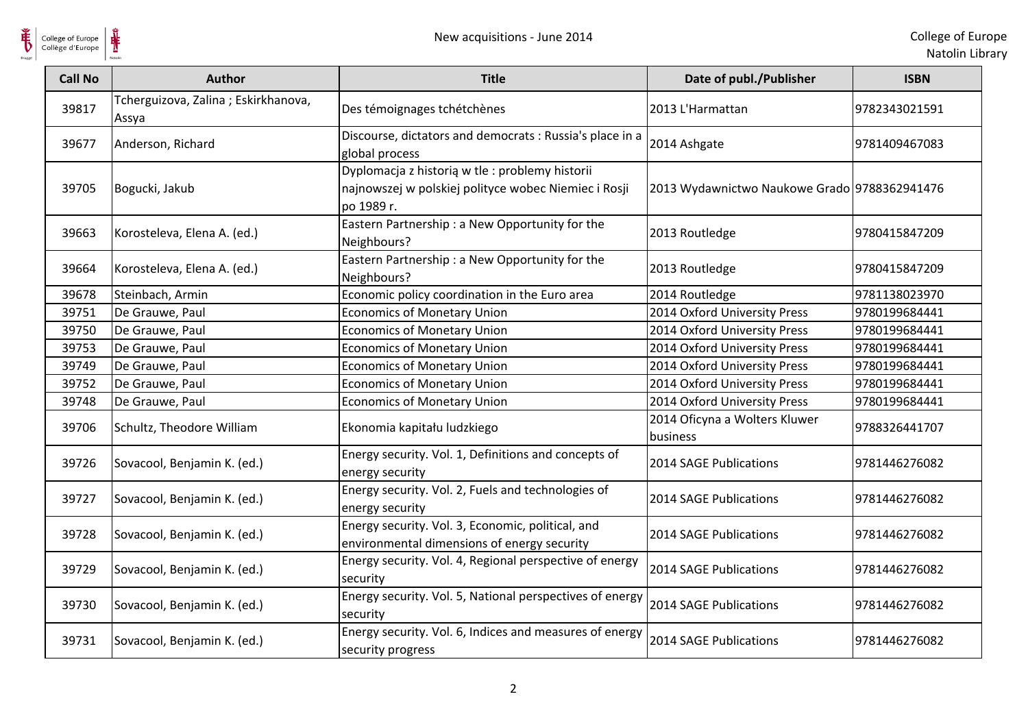$\frac{1}{\sqrt{2}}$ College of Europe

| <b>Call No</b> | <b>Author</b>                                | <b>Title</b>                                                                                                          | Date of publ./Publisher                      | <b>ISBN</b>   |
|----------------|----------------------------------------------|-----------------------------------------------------------------------------------------------------------------------|----------------------------------------------|---------------|
| 39817          | Tcherguizova, Zalina; Eskirkhanova,<br>Assya | Des témoignages tchétchènes                                                                                           | 2013 L'Harmattan                             | 9782343021591 |
| 39677          | Anderson, Richard                            | Discourse, dictators and democrats: Russia's place in a<br>global process                                             | 2014 Ashgate                                 | 9781409467083 |
| 39705          | Bogucki, Jakub                               | Dyplomacja z historią w tle : problemy historii<br>najnowszej w polskiej polityce wobec Niemiec i Rosji<br>po 1989 r. | 2013 Wydawnictwo Naukowe Grado 9788362941476 |               |
| 39663          | Korosteleva, Elena A. (ed.)                  | Eastern Partnership: a New Opportunity for the<br>Neighbours?                                                         | 2013 Routledge                               | 9780415847209 |
| 39664          | Korosteleva, Elena A. (ed.)                  | Eastern Partnership : a New Opportunity for the<br>Neighbours?                                                        | 2013 Routledge                               | 9780415847209 |
| 39678          | Steinbach, Armin                             | Economic policy coordination in the Euro area                                                                         | 2014 Routledge                               | 9781138023970 |
| 39751          | De Grauwe, Paul                              | <b>Economics of Monetary Union</b>                                                                                    | 2014 Oxford University Press                 | 9780199684441 |
| 39750          | De Grauwe, Paul                              | <b>Economics of Monetary Union</b>                                                                                    | 2014 Oxford University Press                 | 9780199684441 |
| 39753          | De Grauwe, Paul                              | <b>Economics of Monetary Union</b>                                                                                    | 2014 Oxford University Press                 | 9780199684441 |
| 39749          | De Grauwe, Paul                              | <b>Economics of Monetary Union</b>                                                                                    | 2014 Oxford University Press                 | 9780199684441 |
| 39752          | De Grauwe, Paul                              | <b>Economics of Monetary Union</b>                                                                                    | 2014 Oxford University Press                 | 9780199684441 |
| 39748          | De Grauwe, Paul                              | <b>Economics of Monetary Union</b>                                                                                    | 2014 Oxford University Press                 | 9780199684441 |
| 39706          | Schultz, Theodore William                    | Ekonomia kapitału ludzkiego                                                                                           | 2014 Oficyna a Wolters Kluwer<br>business    | 9788326441707 |
| 39726          | Sovacool, Benjamin K. (ed.)                  | Energy security. Vol. 1, Definitions and concepts of<br>energy security                                               | 2014 SAGE Publications                       | 9781446276082 |
| 39727          | Sovacool, Benjamin K. (ed.)                  | Energy security. Vol. 2, Fuels and technologies of<br>energy security                                                 | 2014 SAGE Publications                       | 9781446276082 |
| 39728          | Sovacool, Benjamin K. (ed.)                  | Energy security. Vol. 3, Economic, political, and<br>environmental dimensions of energy security                      | 2014 SAGE Publications                       | 9781446276082 |
| 39729          | Sovacool, Benjamin K. (ed.)                  | Energy security. Vol. 4, Regional perspective of energy<br>security                                                   | 2014 SAGE Publications                       | 9781446276082 |
| 39730          | Sovacool, Benjamin K. (ed.)                  | Energy security. Vol. 5, National perspectives of energy<br>security                                                  | 2014 SAGE Publications                       | 9781446276082 |
| 39731          | Sovacool, Benjamin K. (ed.)                  | Energy security. Vol. 6, Indices and measures of energy<br>security progress                                          | 2014 SAGE Publications                       | 9781446276082 |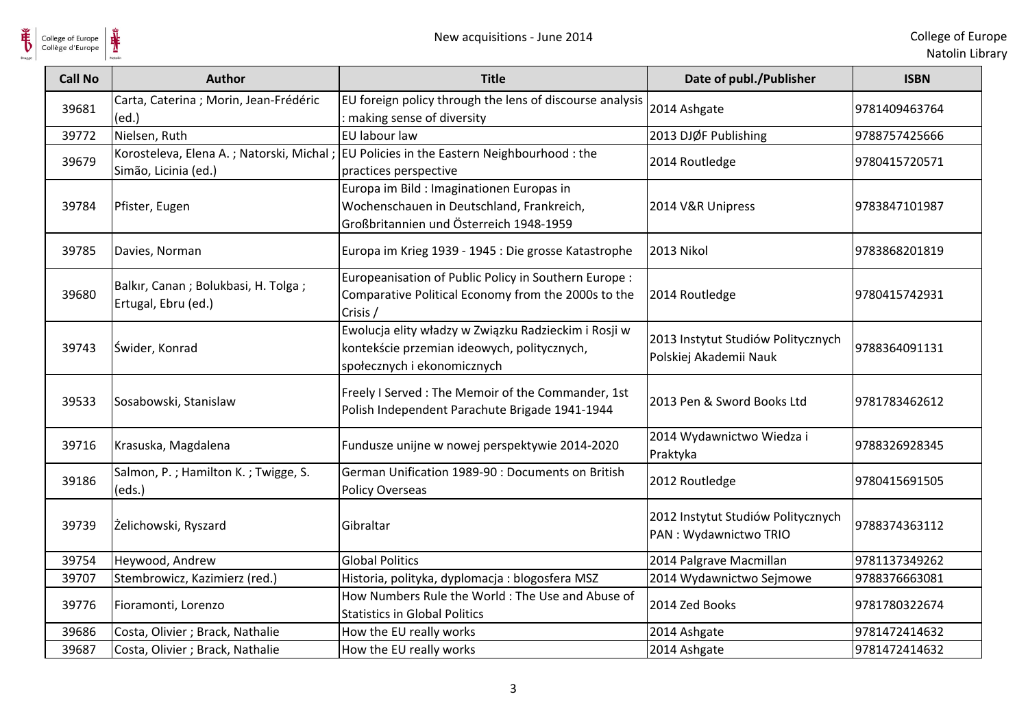

College of Europe

| College of Europe<br>Collège d'Europe | ⋕<br>New acquisitions - June 2014                                |                                                                                                                                    |                                                              | College of Eur<br>Natolin Lib |
|---------------------------------------|------------------------------------------------------------------|------------------------------------------------------------------------------------------------------------------------------------|--------------------------------------------------------------|-------------------------------|
| <b>Call No</b>                        | <b>Author</b>                                                    | <b>Title</b>                                                                                                                       | Date of publ./Publisher                                      | <b>ISBN</b>                   |
| 39681                                 | Carta, Caterina ; Morin, Jean-Frédéric<br>(ed.)                  | EU foreign policy through the lens of discourse analysis<br>: making sense of diversity                                            | 2014 Ashgate                                                 | 9781409463764                 |
| 39772                                 | Nielsen, Ruth                                                    | EU labour law                                                                                                                      | 2013 DJØF Publishing                                         | 9788757425666                 |
| 39679                                 | Korosteleva, Elena A.; Natorski, Michal;<br>Simão, Licinia (ed.) | EU Policies in the Eastern Neighbourhood : the<br>practices perspective                                                            | 2014 Routledge                                               | 9780415720571                 |
| 39784                                 | Pfister, Eugen                                                   | Europa im Bild : Imaginationen Europas in<br>Wochenschauen in Deutschland, Frankreich,<br>Großbritannien und Österreich 1948-1959  | 2014 V&R Unipress                                            | 9783847101987                 |
| 39785                                 | Davies, Norman                                                   | Europa im Krieg 1939 - 1945 : Die grosse Katastrophe                                                                               | 2013 Nikol                                                   | 9783868201819                 |
| 39680                                 | Balkır, Canan ; Bolukbasi, H. Tolga ;<br>Ertugal, Ebru (ed.)     | Europeanisation of Public Policy in Southern Europe :<br>Comparative Political Economy from the 2000s to the<br>Crisis /           | 2014 Routledge                                               | 9780415742931                 |
| 39743                                 | Świder, Konrad                                                   | Ewolucja elity władzy w Związku Radzieckim i Rosji w<br>kontekście przemian ideowych, politycznych,<br>społecznych i ekonomicznych | 2013 Instytut Studiów Politycznych<br>Polskiej Akademii Nauk | 9788364091131                 |
| 39533                                 | Sosabowski, Stanislaw                                            | Freely I Served: The Memoir of the Commander, 1st<br>Polish Independent Parachute Brigade 1941-1944                                | 2013 Pen & Sword Books Ltd                                   | 9781783462612                 |
| 39716                                 | Krasuska, Magdalena                                              | Fundusze unijne w nowej perspektywie 2014-2020                                                                                     | 2014 Wydawnictwo Wiedza i<br>Praktyka                        | 9788326928345                 |
| 39186                                 | Salmon, P.; Hamilton K.; Twigge, S.<br>(eds.)                    | German Unification 1989-90 : Documents on British<br><b>Policy Overseas</b>                                                        | 2012 Routledge                                               | 9780415691505                 |
| 39739                                 | Żelichowski, Ryszard                                             | Gibraltar                                                                                                                          | 2012 Instytut Studiów Politycznych<br>PAN: Wydawnictwo TRIO  | 9788374363112                 |
| 39754                                 | Heywood, Andrew                                                  | <b>Global Politics</b>                                                                                                             | 2014 Palgrave Macmillan                                      | 9781137349262                 |
| 39707                                 | Stembrowicz, Kazimierz (red.)                                    | Historia, polityka, dyplomacja: blogosfera MSZ                                                                                     | 2014 Wydawnictwo Sejmowe                                     | 9788376663081                 |
| 39776                                 | Fioramonti, Lorenzo                                              | How Numbers Rule the World: The Use and Abuse of<br><b>Statistics in Global Politics</b>                                           | 2014 Zed Books                                               | 9781780322674                 |
| 39686                                 | Costa, Olivier ; Brack, Nathalie                                 | How the EU really works                                                                                                            | 2014 Ashgate                                                 | 9781472414632                 |
| 39687                                 | Costa, Olivier ; Brack, Nathalie                                 | How the EU really works                                                                                                            | 2014 Ashgate                                                 | 9781472414632                 |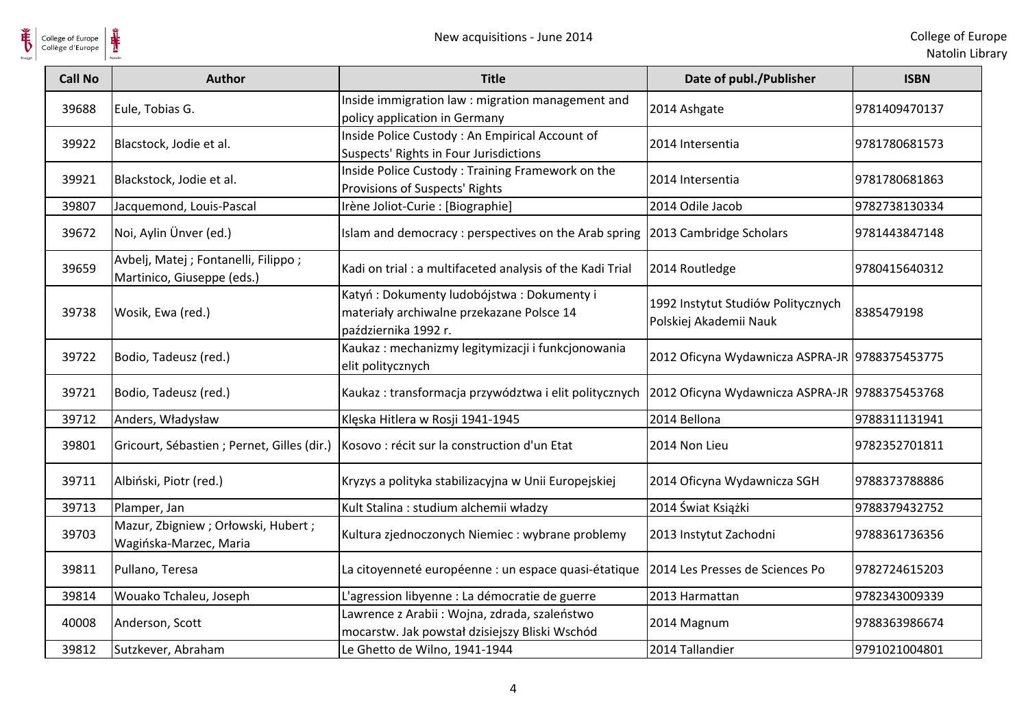$\frac{1}{\sqrt{2}}$ College of Europe

| <b>Call No</b> | <b>Author</b>                                                       | <b>Title</b>                                                                                                   | Date of publ./Publisher                                      | <b>ISBN</b>   |
|----------------|---------------------------------------------------------------------|----------------------------------------------------------------------------------------------------------------|--------------------------------------------------------------|---------------|
| 39688          | Eule, Tobias G.                                                     | Inside immigration law : migration management and<br>policy application in Germany                             | 2014 Ashgate                                                 | 9781409470137 |
| 39922          | Blacstock, Jodie et al.                                             | Inside Police Custody: An Empirical Account of<br>Suspects' Rights in Four Jurisdictions                       | 2014 Intersentia                                             | 9781780681573 |
| 39921          | Blackstock, Jodie et al.                                            | Inside Police Custody: Training Framework on the<br>Provisions of Suspects' Rights                             | 2014 Intersentia                                             | 9781780681863 |
| 39807          | Jacquemond, Louis-Pascal                                            | Irène Joliot-Curie : [Biographie]                                                                              | 2014 Odile Jacob                                             | 9782738130334 |
| 39672          | Noi, Aylin Ünver (ed.)                                              | Islam and democracy: perspectives on the Arab spring 2013 Cambridge Scholars                                   |                                                              | 9781443847148 |
| 39659          | Avbelj, Matej ; Fontanelli, Filippo ;<br>Martinico, Giuseppe (eds.) | Kadi on trial : a multifaceted analysis of the Kadi Trial                                                      | 2014 Routledge                                               | 9780415640312 |
| 39738          | Wosik, Ewa (red.)                                                   | Katyń: Dokumenty ludobójstwa: Dokumenty i<br>materiały archiwalne przekazane Polsce 14<br>października 1992 r. | 1992 Instytut Studiów Politycznych<br>Polskiej Akademii Nauk | 8385479198    |
| 39722          | Bodio, Tadeusz (red.)                                               | Kaukaz: mechanizmy legitymizacji i funkcjonowania<br>elit politycznych                                         | 2012 Oficyna Wydawnicza ASPRA-JR 9788375453775               |               |
| 39721          | Bodio, Tadeusz (red.)                                               | Kaukaz: transformacja przywództwa i elit politycznych                                                          | 2012 Oficyna Wydawnicza ASPRA-JR 9788375453768               |               |
| 39712          | Anders, Władysław                                                   | Klęska Hitlera w Rosji 1941-1945                                                                               | 2014 Bellona                                                 | 9788311131941 |
| 39801          |                                                                     | Gricourt, Sébastien ; Pernet, Gilles (dir.)   Kosovo : récit sur la construction d'un Etat                     | 2014 Non Lieu                                                | 9782352701811 |
| 39711          | Albiński, Piotr (red.)                                              | Kryzys a polityka stabilizacyjna w Unii Europejskiej                                                           | 2014 Oficyna Wydawnicza SGH                                  | 9788373788886 |
| 39713          | Plamper, Jan                                                        | Kult Stalina : studium alchemii władzy                                                                         | 2014 Świat Książki                                           | 9788379432752 |
| 39703          | Mazur, Zbigniew ; Orłowski, Hubert ;<br>Wagińska-Marzec, Maria      | Kultura zjednoczonych Niemiec : wybrane problemy                                                               | 2013 Instytut Zachodni                                       | 9788361736356 |
| 39811          | Pullano, Teresa                                                     | La citoyenneté européenne : un espace quasi-étatique                                                           | 2014 Les Presses de Sciences Po                              | 9782724615203 |
| 39814          | Wouako Tchaleu, Joseph                                              | L'agression libyenne : La démocratie de guerre                                                                 | 2013 Harmattan                                               | 9782343009339 |
| 40008          | Anderson, Scott                                                     | Lawrence z Arabii: Wojna, zdrada, szaleństwo<br>mocarstw. Jak powstał dzisiejszy Bliski Wschód                 | 2014 Magnum                                                  | 9788363986674 |
| 39812          | Sutzkever, Abraham                                                  | Le Ghetto de Wilno, 1941-1944                                                                                  | 2014 Tallandier                                              | 9791021004801 |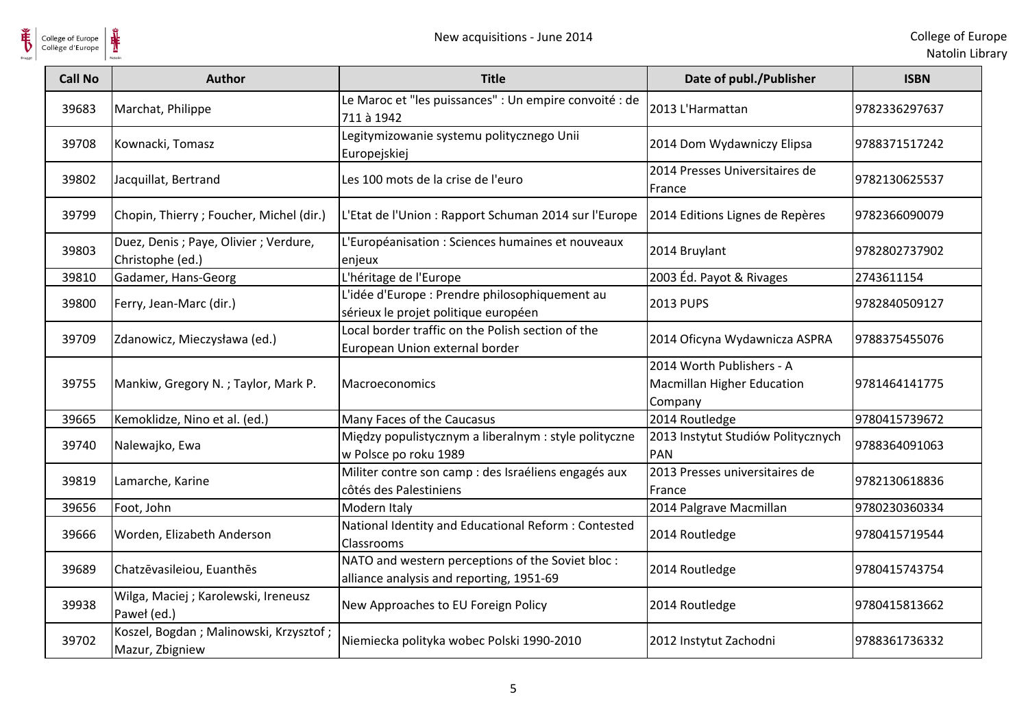

| <b>Call No</b> | <b>Author</b>                                              | <b>Title</b>                                                                                 | Date of publ./Publisher                                                   | <b>ISBN</b>   |
|----------------|------------------------------------------------------------|----------------------------------------------------------------------------------------------|---------------------------------------------------------------------------|---------------|
| 39683          | Marchat, Philippe                                          | Le Maroc et "les puissances" : Un empire convoité : de<br>711 à 1942                         | 2013 L'Harmattan                                                          | 9782336297637 |
| 39708          | Kownacki, Tomasz                                           | Legitymizowanie systemu politycznego Unii<br>Europejskiej                                    | 2014 Dom Wydawniczy Elipsa                                                | 9788371517242 |
| 39802          | Jacquillat, Bertrand                                       | Les 100 mots de la crise de l'euro                                                           | 2014 Presses Universitaires de<br>France                                  | 9782130625537 |
| 39799          | Chopin, Thierry; Foucher, Michel (dir.)                    | L'Etat de l'Union : Rapport Schuman 2014 sur l'Europe                                        | 2014 Editions Lignes de Repères                                           | 9782366090079 |
| 39803          | Duez, Denis ; Paye, Olivier ; Verdure,<br>Christophe (ed.) | L'Européanisation : Sciences humaines et nouveaux<br>enjeux                                  | 2014 Bruylant                                                             | 9782802737902 |
| 39810          | Gadamer, Hans-Georg                                        | L'héritage de l'Europe                                                                       | 2003 Éd. Payot & Rivages                                                  | 2743611154    |
| 39800          | Ferry, Jean-Marc (dir.)                                    | L'idée d'Europe : Prendre philosophiquement au<br>sérieux le projet politique européen       | <b>2013 PUPS</b>                                                          | 9782840509127 |
| 39709          | Zdanowicz, Mieczysława (ed.)                               | Local border traffic on the Polish section of the<br>European Union external border          | 2014 Oficyna Wydawnicza ASPRA                                             | 9788375455076 |
| 39755          | Mankiw, Gregory N.; Taylor, Mark P.                        | Macroeconomics                                                                               | 2014 Worth Publishers - A<br><b>Macmillan Higher Education</b><br>Company | 9781464141775 |
| 39665          | Kemoklidze, Nino et al. (ed.)                              | Many Faces of the Caucasus                                                                   | 2014 Routledge                                                            | 9780415739672 |
| 39740          | Nalewajko, Ewa                                             | Między populistycznym a liberalnym : style polityczne<br>w Polsce po roku 1989               | 2013 Instytut Studiów Politycznych<br><b>PAN</b>                          | 9788364091063 |
| 39819          | Lamarche, Karine                                           | Militer contre son camp : des Israéliens engagés aux<br>côtés des Palestiniens               | 2013 Presses universitaires de<br>France                                  | 9782130618836 |
| 39656          | Foot, John                                                 | Modern Italy                                                                                 | 2014 Palgrave Macmillan                                                   | 9780230360334 |
| 39666          | Worden, Elizabeth Anderson                                 | National Identity and Educational Reform: Contested<br>Classrooms                            | 2014 Routledge                                                            | 9780415719544 |
| 39689          | Chatzēvasileiou, Euanthēs                                  | NATO and western perceptions of the Soviet bloc:<br>alliance analysis and reporting, 1951-69 | 2014 Routledge                                                            | 9780415743754 |
| 39938          | Wilga, Maciej ; Karolewski, Ireneusz<br>Paweł (ed.)        | New Approaches to EU Foreign Policy                                                          | 2014 Routledge                                                            | 9780415813662 |
| 39702          | Koszel, Bogdan; Malinowski, Krzysztof;<br>Mazur, Zbigniew  | Niemiecka polityka wobec Polski 1990-2010                                                    | 2012 Instytut Zachodni                                                    | 9788361736332 |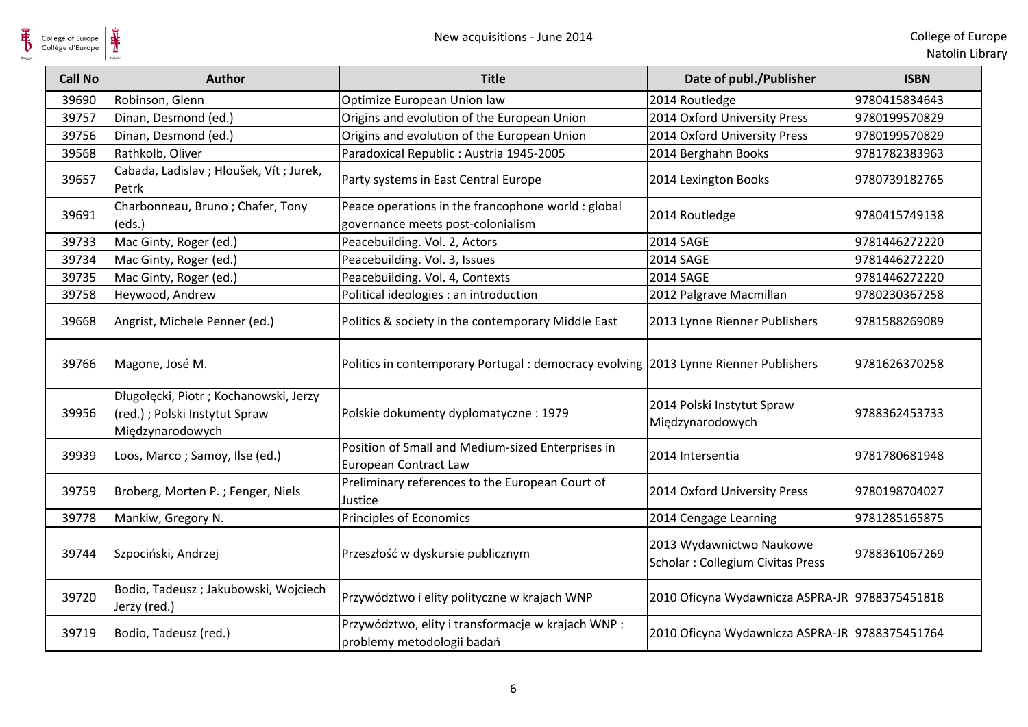| <b>Call No</b> | <b>Author</b>                                                                               | <b>Title</b>                                                                            | Date of publ./Publisher                                      | <b>ISBN</b>   |
|----------------|---------------------------------------------------------------------------------------------|-----------------------------------------------------------------------------------------|--------------------------------------------------------------|---------------|
| 39690          | Robinson, Glenn                                                                             | Optimize European Union law                                                             | 2014 Routledge                                               | 9780415834643 |
| 39757          | Dinan, Desmond (ed.)                                                                        | Origins and evolution of the European Union                                             | 2014 Oxford University Press                                 | 9780199570829 |
| 39756          | Dinan, Desmond (ed.)                                                                        | Origins and evolution of the European Union                                             | 2014 Oxford University Press                                 | 9780199570829 |
| 39568          | Rathkolb, Oliver                                                                            | Paradoxical Republic : Austria 1945-2005                                                | 2014 Berghahn Books                                          | 9781782383963 |
| 39657          | Cabada, Ladislav; Hloušek, Vít; Jurek,<br>Petrk                                             | Party systems in East Central Europe                                                    | 2014 Lexington Books                                         | 9780739182765 |
| 39691          | Charbonneau, Bruno; Chafer, Tony<br>(eds.)                                                  | Peace operations in the francophone world : global<br>governance meets post-colonialism | 2014 Routledge                                               | 9780415749138 |
| 39733          | Mac Ginty, Roger (ed.)                                                                      | Peacebuilding. Vol. 2, Actors                                                           | <b>2014 SAGE</b>                                             | 9781446272220 |
| 39734          | Mac Ginty, Roger (ed.)                                                                      | Peacebuilding. Vol. 3, Issues                                                           | <b>2014 SAGE</b>                                             | 9781446272220 |
| 39735          | Mac Ginty, Roger (ed.)                                                                      | Peacebuilding. Vol. 4, Contexts                                                         | <b>2014 SAGE</b>                                             | 9781446272220 |
| 39758          | Heywood, Andrew                                                                             | Political ideologies : an introduction                                                  | 2012 Palgrave Macmillan                                      | 9780230367258 |
| 39668          | Angrist, Michele Penner (ed.)                                                               | Politics & society in the contemporary Middle East                                      | 2013 Lynne Rienner Publishers                                | 9781588269089 |
| 39766          | Magone, José M.                                                                             | Politics in contemporary Portugal : democracy evolving 2013 Lynne Rienner Publishers    |                                                              | 9781626370258 |
| 39956          | Długołęcki, Piotr; Kochanowski, Jerzy<br>(red.) ; Polski Instytut Spraw<br>Międzynarodowych | Polskie dokumenty dyplomatyczne: 1979                                                   | 2014 Polski Instytut Spraw<br>Międzynarodowych               | 9788362453733 |
| 39939          | Loos, Marco; Samoy, Ilse (ed.)                                                              | Position of Small and Medium-sized Enterprises in<br><b>European Contract Law</b>       | 2014 Intersentia                                             | 9781780681948 |
| 39759          | Broberg, Morten P.; Fenger, Niels                                                           | Preliminary references to the European Court of<br>Justice                              | 2014 Oxford University Press                                 | 9780198704027 |
| 39778          | Mankiw, Gregory N.                                                                          | Principles of Economics                                                                 | 2014 Cengage Learning                                        | 9781285165875 |
| 39744          | Szpociński, Andrzej                                                                         | Przeszłość w dyskursie publicznym                                                       | 2013 Wydawnictwo Naukowe<br>Scholar: Collegium Civitas Press | 9788361067269 |
| 39720          | Bodio, Tadeusz; Jakubowski, Wojciech<br>Jerzy (red.)                                        | Przywództwo i elity polityczne w krajach WNP                                            | 2010 Oficyna Wydawnicza ASPRA-JR 9788375451818               |               |
| 39719          | Bodio, Tadeusz (red.)                                                                       | Przywództwo, elity i transformacje w krajach WNP :<br>problemy metodologii badań        | 2010 Oficyna Wydawnicza ASPRA-JR 9788375451764               |               |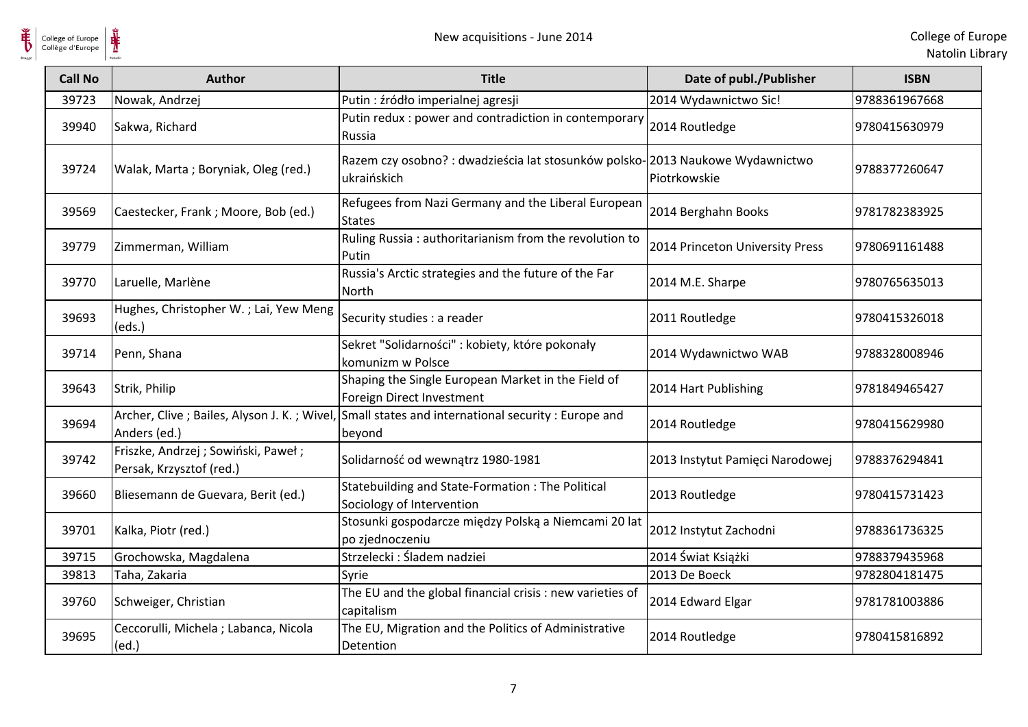| <b>Call No</b> | <b>Author</b>                                                    | <b>Title</b>                                                                                                | Date of publ./Publisher         | <b>ISBN</b>   |
|----------------|------------------------------------------------------------------|-------------------------------------------------------------------------------------------------------------|---------------------------------|---------------|
| 39723          | Nowak, Andrzej                                                   | Putin : źródło imperialnej agresji                                                                          | 2014 Wydawnictwo Sic!           | 9788361967668 |
| 39940          | Sakwa, Richard                                                   | Putin redux : power and contradiction in contemporary<br>Russia                                             | 2014 Routledge                  | 9780415630979 |
| 39724          | Walak, Marta; Boryniak, Oleg (red.)                              | Razem czy osobno? : dwadzieścia lat stosunków polsko-2013 Naukowe Wydawnictwo<br>ukraińskich                | Piotrkowskie                    | 9788377260647 |
| 39569          | Caestecker, Frank; Moore, Bob (ed.)                              | Refugees from Nazi Germany and the Liberal European<br><b>States</b>                                        | 2014 Berghahn Books             | 9781782383925 |
| 39779          | Zimmerman, William                                               | Ruling Russia: authoritarianism from the revolution to<br>Putin                                             | 2014 Princeton University Press | 9780691161488 |
| 39770          | Laruelle, Marlène                                                | Russia's Arctic strategies and the future of the Far<br><b>North</b>                                        | 2014 M.E. Sharpe                | 9780765635013 |
| 39693          | Hughes, Christopher W.; Lai, Yew Meng<br>(eds.)                  | Security studies : a reader                                                                                 | 2011 Routledge                  | 9780415326018 |
| 39714          | Penn, Shana                                                      | Sekret "Solidarności" : kobiety, które pokonały<br>komunizm w Polsce                                        | 2014 Wydawnictwo WAB            | 9788328008946 |
| 39643          | Strik, Philip                                                    | Shaping the Single European Market in the Field of<br>Foreign Direct Investment                             | 2014 Hart Publishing            | 9781849465427 |
| 39694          | Anders (ed.)                                                     | Archer, Clive ; Bailes, Alyson J. K.; Wivel, Small states and international security : Europe and<br>beyond | 2014 Routledge                  | 9780415629980 |
| 39742          | Friszke, Andrzej ; Sowiński, Paweł ;<br>Persak, Krzysztof (red.) | Solidarność od wewnątrz 1980-1981                                                                           | 2013 Instytut Pamięci Narodowej | 9788376294841 |
| 39660          | Bliesemann de Guevara, Berit (ed.)                               | Statebuilding and State-Formation : The Political<br>Sociology of Intervention                              | 2013 Routledge                  | 9780415731423 |
| 39701          | Kalka, Piotr (red.)                                              | Stosunki gospodarcze między Polską a Niemcami 20 lat<br>po zjednoczeniu                                     | 2012 Instytut Zachodni          | 9788361736325 |
| 39715          | Grochowska, Magdalena                                            | Strzelecki: Śladem nadziei                                                                                  | 2014 Świat Książki              | 9788379435968 |
| 39813          | Taha, Zakaria                                                    | Syrie                                                                                                       | 2013 De Boeck                   | 9782804181475 |
| 39760          | Schweiger, Christian                                             | The EU and the global financial crisis : new varieties of<br>capitalism                                     | 2014 Edward Elgar               | 9781781003886 |
| 39695          | Ceccorulli, Michela; Labanca, Nicola<br>(ed.)                    | The EU, Migration and the Politics of Administrative<br>Detention                                           | 2014 Routledge                  | 9780415816892 |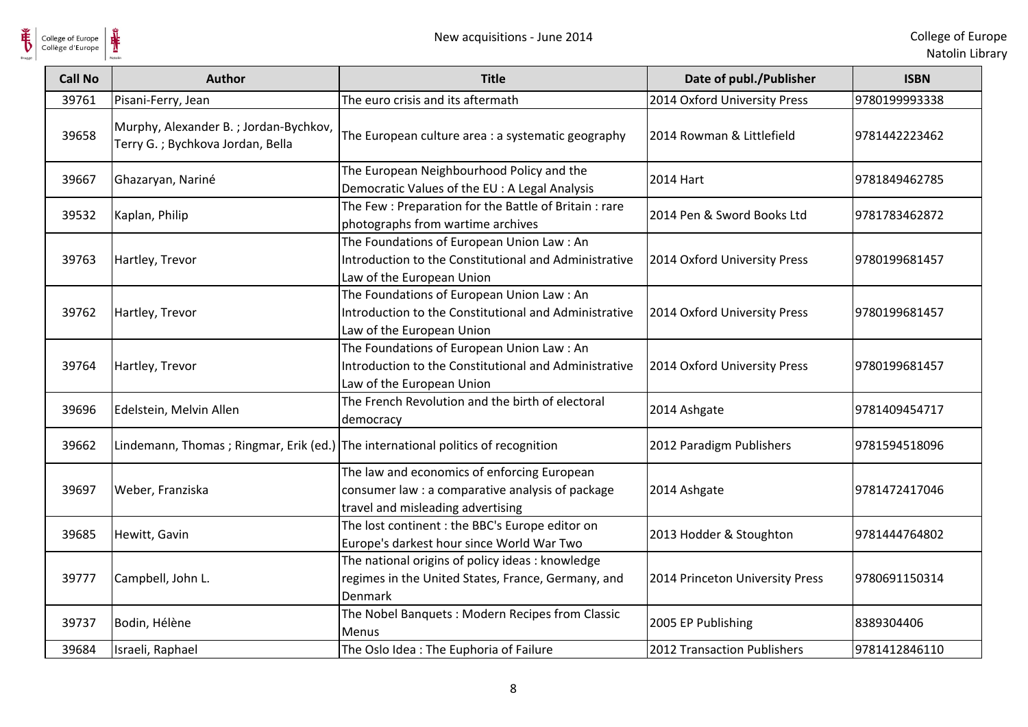College of Europe

 $\frac{1}{\sqrt{2}}$ 

| <b>Call No</b> | <b>Author</b>                                                                    | <b>Title</b>                                                                                                                         | Date of publ./Publisher         | <b>ISBN</b>   |
|----------------|----------------------------------------------------------------------------------|--------------------------------------------------------------------------------------------------------------------------------------|---------------------------------|---------------|
| 39761          | Pisani-Ferry, Jean                                                               | The euro crisis and its aftermath                                                                                                    | 2014 Oxford University Press    | 9780199993338 |
| 39658          | Murphy, Alexander B.; Jordan-Bychkov,<br>Terry G.; Bychkova Jordan, Bella        | The European culture area : a systematic geography                                                                                   | 2014 Rowman & Littlefield       | 9781442223462 |
| 39667          | Ghazaryan, Nariné                                                                | The European Neighbourhood Policy and the<br>Democratic Values of the EU : A Legal Analysis                                          | 2014 Hart                       | 9781849462785 |
| 39532          | Kaplan, Philip                                                                   | The Few: Preparation for the Battle of Britain: rare<br>photographs from wartime archives                                            | 2014 Pen & Sword Books Ltd      | 9781783462872 |
| 39763          | Hartley, Trevor                                                                  | The Foundations of European Union Law: An<br>Introduction to the Constitutional and Administrative<br>Law of the European Union      | 2014 Oxford University Press    | 9780199681457 |
| 39762          | Hartley, Trevor                                                                  | The Foundations of European Union Law: An<br>Introduction to the Constitutional and Administrative<br>Law of the European Union      | 2014 Oxford University Press    | 9780199681457 |
| 39764          | Hartley, Trevor                                                                  | The Foundations of European Union Law: An<br>Introduction to the Constitutional and Administrative<br>Law of the European Union      | 2014 Oxford University Press    | 9780199681457 |
| 39696          | Edelstein, Melvin Allen                                                          | The French Revolution and the birth of electoral<br>democracy                                                                        | 2014 Ashgate                    | 9781409454717 |
| 39662          | Lindemann, Thomas; Ringmar, Erik (ed.) The international politics of recognition |                                                                                                                                      | 2012 Paradigm Publishers        | 9781594518096 |
| 39697          | Weber, Franziska                                                                 | The law and economics of enforcing European<br>consumer law : a comparative analysis of package<br>travel and misleading advertising | 2014 Ashgate                    | 9781472417046 |
| 39685          | Hewitt, Gavin                                                                    | The lost continent : the BBC's Europe editor on<br>Europe's darkest hour since World War Two                                         | 2013 Hodder & Stoughton         | 9781444764802 |
| 39777          | Campbell, John L.                                                                | The national origins of policy ideas: knowledge<br>regimes in the United States, France, Germany, and<br><b>Denmark</b>              | 2014 Princeton University Press | 9780691150314 |
| 39737          | Bodin, Hélène                                                                    | The Nobel Banquets: Modern Recipes from Classic<br><b>Menus</b>                                                                      | 2005 EP Publishing              | 8389304406    |
| 39684          | Israeli, Raphael                                                                 | The Oslo Idea: The Euphoria of Failure                                                                                               | 2012 Transaction Publishers     | 9781412846110 |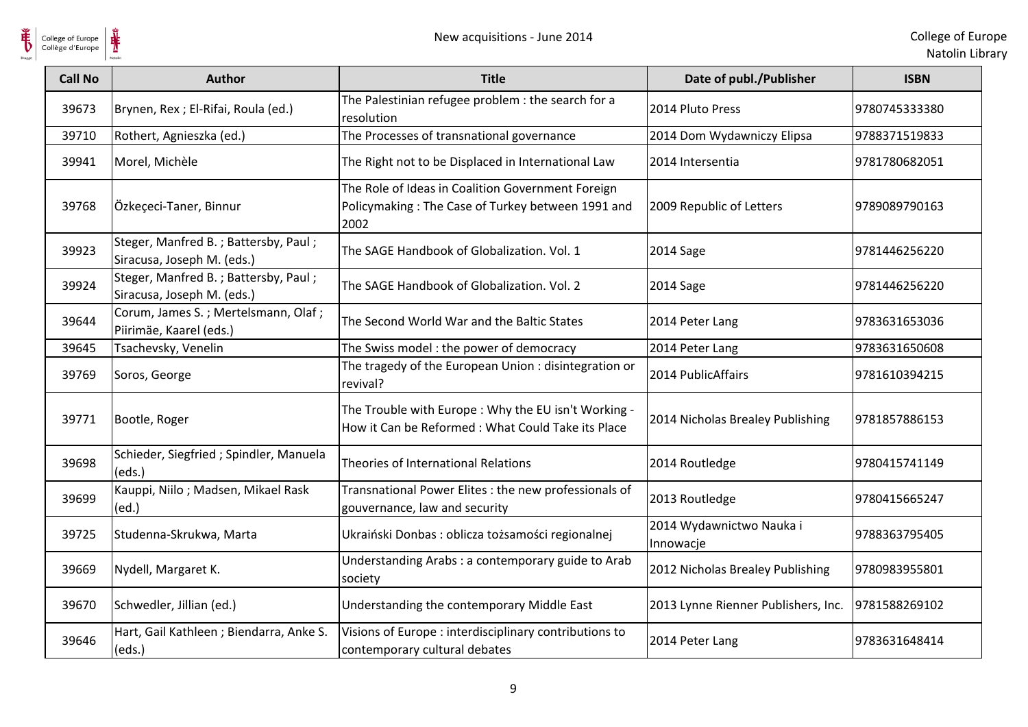

| <b>Call No</b> | <b>Author</b>                                                      | <b>Title</b>                                                                                                   | Date of publ./Publisher               | <b>ISBN</b>   |
|----------------|--------------------------------------------------------------------|----------------------------------------------------------------------------------------------------------------|---------------------------------------|---------------|
| 39673          | Brynen, Rex ; El-Rifai, Roula (ed.)                                | The Palestinian refugee problem : the search for a<br>resolution                                               | 2014 Pluto Press                      | 9780745333380 |
| 39710          | Rothert, Agnieszka (ed.)                                           | The Processes of transnational governance                                                                      | 2014 Dom Wydawniczy Elipsa            | 9788371519833 |
| 39941          | Morel, Michèle                                                     | The Right not to be Displaced in International Law                                                             | 2014 Intersentia                      | 9781780682051 |
| 39768          | Özkeçeci-Taner, Binnur                                             | The Role of Ideas in Coalition Government Foreign<br>Policymaking: The Case of Turkey between 1991 and<br>2002 | 2009 Republic of Letters              | 9789089790163 |
| 39923          | Steger, Manfred B.; Battersby, Paul;<br>Siracusa, Joseph M. (eds.) | The SAGE Handbook of Globalization. Vol. 1                                                                     | 2014 Sage                             | 9781446256220 |
| 39924          | Steger, Manfred B.; Battersby, Paul;<br>Siracusa, Joseph M. (eds.) | The SAGE Handbook of Globalization. Vol. 2                                                                     | 2014 Sage                             | 9781446256220 |
| 39644          | Corum, James S.; Mertelsmann, Olaf;<br>Piirimäe, Kaarel (eds.)     | The Second World War and the Baltic States                                                                     | 2014 Peter Lang                       | 9783631653036 |
| 39645          | Tsachevsky, Venelin                                                | The Swiss model: the power of democracy                                                                        | 2014 Peter Lang                       | 9783631650608 |
| 39769          | Soros, George                                                      | The tragedy of the European Union: disintegration or<br>revival?                                               | 2014 PublicAffairs                    | 9781610394215 |
| 39771          | Bootle, Roger                                                      | The Trouble with Europe: Why the EU isn't Working -<br>How it Can be Reformed: What Could Take its Place       | 2014 Nicholas Brealey Publishing      | 9781857886153 |
| 39698          | Schieder, Siegfried ; Spindler, Manuela<br>(eds.)                  | Theories of International Relations                                                                            | 2014 Routledge                        | 9780415741149 |
| 39699          | Kauppi, Niilo; Madsen, Mikael Rask<br>(ed.)                        | Transnational Power Elites : the new professionals of<br>gouvernance, law and security                         | 2013 Routledge                        | 9780415665247 |
| 39725          | Studenna-Skrukwa, Marta                                            | Ukraiński Donbas : oblicza tożsamości regionalnej                                                              | 2014 Wydawnictwo Nauka i<br>Innowacje | 9788363795405 |
| 39669          | Nydell, Margaret K.                                                | Understanding Arabs: a contemporary guide to Arab<br>society                                                   | 2012 Nicholas Brealey Publishing      | 9780983955801 |
| 39670          | Schwedler, Jillian (ed.)                                           | Understanding the contemporary Middle East                                                                     | 2013 Lynne Rienner Publishers, Inc.   | 9781588269102 |
| 39646          | Hart, Gail Kathleen; Biendarra, Anke S.<br>(eds.)                  | Visions of Europe : interdisciplinary contributions to<br>contemporary cultural debates                        | 2014 Peter Lang                       | 9783631648414 |